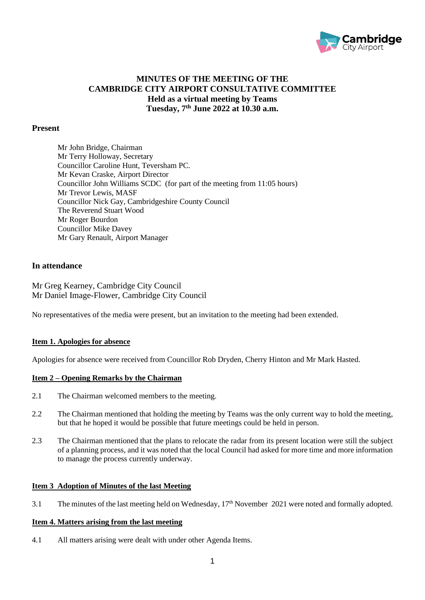

# **MINUTES OF THE MEETING OF THE CAMBRIDGE CITY AIRPORT CONSULTATIVE COMMITTEE Held as a virtual meeting by Teams Tuesday, 7 th June 2022 at 10.30 a.m.**

## **Present**

Mr John Bridge, Chairman Mr Terry Holloway, Secretary Councillor Caroline Hunt, Teversham PC. Mr Kevan Craske, Airport Director Councillor John Williams SCDC (for part of the meeting from 11:05 hours) Mr Trevor Lewis, MASF Councillor Nick Gay, Cambridgeshire County Council The Reverend Stuart Wood Mr Roger Bourdon Councillor Mike Davey Mr Gary Renault, Airport Manager

## **In attendance**

Mr Greg Kearney, Cambridge City Council Mr Daniel Image-Flower, Cambridge City Council

No representatives of the media were present, but an invitation to the meeting had been extended.

#### **Item 1. Apologies for absence**

Apologies for absence were received from Councillor Rob Dryden, Cherry Hinton and Mr Mark Hasted.

# **Item 2 – Opening Remarks by the Chairman**

- 2.1 The Chairman welcomed members to the meeting.
- 2.2 The Chairman mentioned that holding the meeting by Teams was the only current way to hold the meeting, but that he hoped it would be possible that future meetings could be held in person.
- 2.3 The Chairman mentioned that the plans to relocate the radar from its present location were still the subject of a planning process, and it was noted that the local Council had asked for more time and more information to manage the process currently underway.

## **Item 3 Adoption of Minutes of the last Meeting**

3.1 The minutes of the last meeting held on Wednesday, 17<sup>th</sup> November 2021 were noted and formally adopted.

#### **Item 4. Matters arising from the last meeting**

4.1 All matters arising were dealt with under other Agenda Items.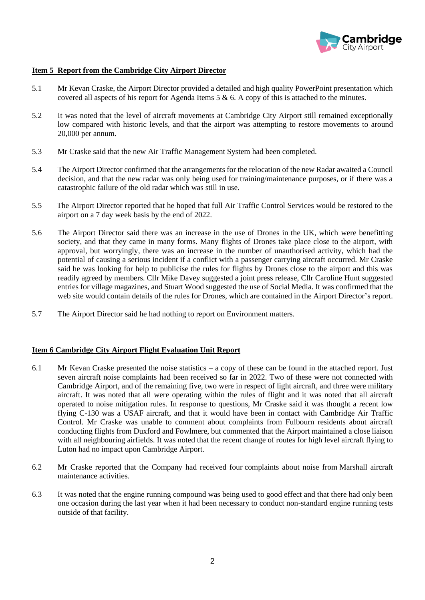

## **Item 5 Report from the Cambridge City Airport Director**

- 5.1 Mr Kevan Craske, the Airport Director provided a detailed and high quality PowerPoint presentation which covered all aspects of his report for Agenda Items 5 & 6. A copy of this is attached to the minutes.
- 5.2 It was noted that the level of aircraft movements at Cambridge City Airport still remained exceptionally low compared with historic levels, and that the airport was attempting to restore movements to around 20,000 per annum.
- 5.3 Mr Craske said that the new Air Traffic Management System had been completed.
- 5.4 The Airport Director confirmed that the arrangements for the relocation of the new Radar awaited a Council decision, and that the new radar was only being used for training/maintenance purposes, or if there was a catastrophic failure of the old radar which was still in use.
- 5.5 The Airport Director reported that he hoped that full Air Traffic Control Services would be restored to the airport on a 7 day week basis by the end of 2022.
- 5.6 The Airport Director said there was an increase in the use of Drones in the UK, which were benefitting society, and that they came in many forms. Many flights of Drones take place close to the airport, with approval, but worryingly, there was an increase in the number of unauthorised activity, which had the potential of causing a serious incident if a conflict with a passenger carrying aircraft occurred. Mr Craske said he was looking for help to publicise the rules for flights by Drones close to the airport and this was readily agreed by members. Cllr Mike Davey suggested a joint press release, Cllr Caroline Hunt suggested entries for village magazines, and Stuart Wood suggested the use of Social Media. It was confirmed that the web site would contain details of the rules for Drones, which are contained in the Airport Director's report.
- 5.7 The Airport Director said he had nothing to report on Environment matters.

#### **Item 6 Cambridge City Airport Flight Evaluation Unit Report**

- 6.1 Mr Kevan Craske presented the noise statistics a copy of these can be found in the attached report. Just seven aircraft noise complaints had been received so far in 2022. Two of these were not connected with Cambridge Airport, and of the remaining five, two were in respect of light aircraft, and three were military aircraft. It was noted that all were operating within the rules of flight and it was noted that all aircraft operated to noise mitigation rules. In response to questions, Mr Craske said it was thought a recent low flying C-130 was a USAF aircraft, and that it would have been in contact with Cambridge Air Traffic Control. Mr Craske was unable to comment about complaints from Fulbourn residents about aircraft conducting flights from Duxford and Fowlmere, but commented that the Airport maintained a close liaison with all neighbouring airfields. It was noted that the recent change of routes for high level aircraft flying to Luton had no impact upon Cambridge Airport.
- 6.2 Mr Craske reported that the Company had received four complaints about noise from Marshall aircraft maintenance activities.
- 6.3 It was noted that the engine running compound was being used to good effect and that there had only been one occasion during the last year when it had been necessary to conduct non-standard engine running tests outside of that facility.